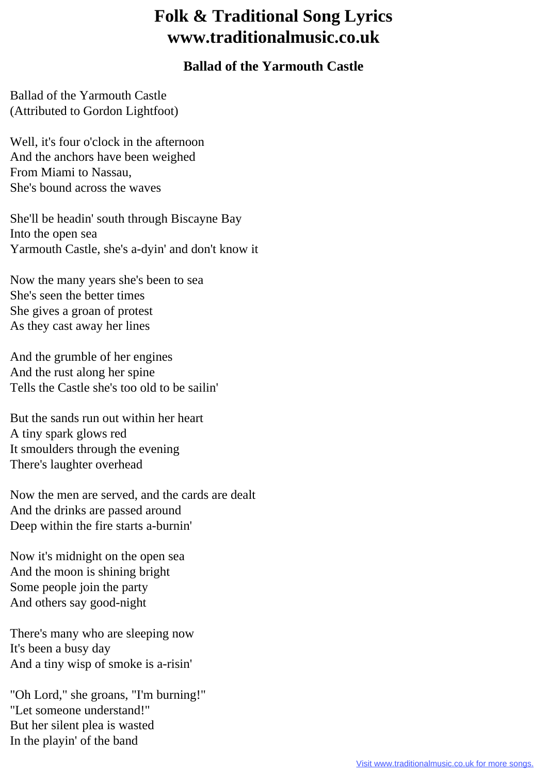## **Folk & Traditional Song Lyrics www.traditionalmusic.co.uk**

## **Ballad of the Yarmouth Castle**

Ballad of the Yarmouth Castle (Attributed to Gordon Lightfoot)

Well, it's four o'clock in the afternoon And the anchors have been weighed From Miami to Nassau, She's bound across the waves

She'll be headin' south through Biscayne Bay Into the open sea Yarmouth Castle, she's a-dyin' and don't know it

Now the many years she's been to sea She's seen the better times She gives a groan of protest As they cast away her lines

And the grumble of her engines And the rust along her spine Tells the Castle she's too old to be sailin'

But the sands run out within her heart A tiny spark glows red It smoulders through the evening There's laughter overhead

Now the men are served, and the cards are dealt And the drinks are passed around Deep within the fire starts a-burnin'

Now it's midnight on the open sea And the moon is shining bright Some people join the party And others say good-night

There's many who are sleeping now It's been a busy day And a tiny wisp of smoke is a-risin'

"Oh Lord," she groans, "I'm burning!" "Let someone understand!" But her silent plea is wasted In the playin' of the band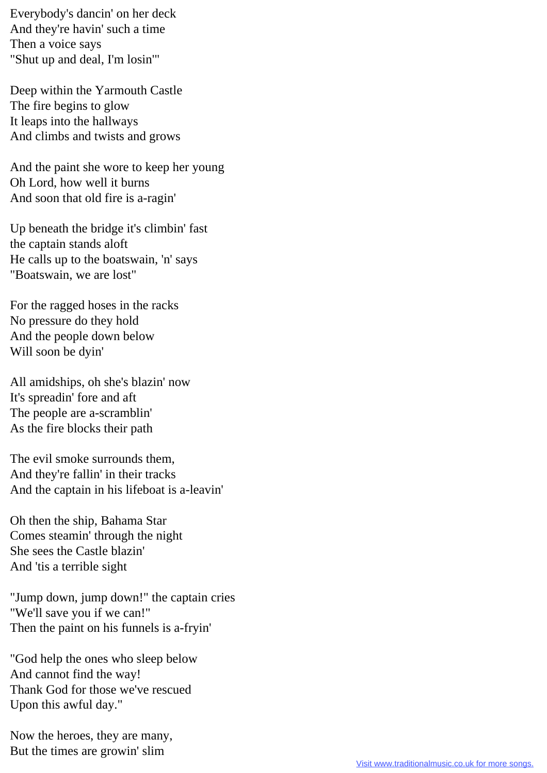Everybody's dancin' on her deck And they're havin' such a time Then a voice says "Shut up and deal, I'm losin'"

Deep within the Yarmouth Castle The fire begins to glow It leaps into the hallways And climbs and twists and grows

And the paint she wore to keep her young Oh Lord, how well it burns And soon that old fire is a-ragin'

Up beneath the bridge it's climbin' fast the captain stands aloft He calls up to the boatswain, 'n' says "Boatswain, we are lost"

For the ragged hoses in the racks No pressure do they hold And the people down below Will soon be dyin'

All amidships, oh she's blazin' now It's spreadin' fore and aft The people are a-scramblin' As the fire blocks their path

The evil smoke surrounds them, And they're fallin' in their tracks And the captain in his lifeboat is a-leavin'

Oh then the ship, Bahama Star Comes steamin' through the night She sees the Castle blazin' And 'tis a terrible sight

"Jump down, jump down!" the captain cries "We'll save you if we can!" Then the paint on his funnels is a-fryin'

"God help the ones who sleep below And cannot find the way! Thank God for those we've rescued Upon this awful day."

Now the heroes, they are many, But the times are growin' slim